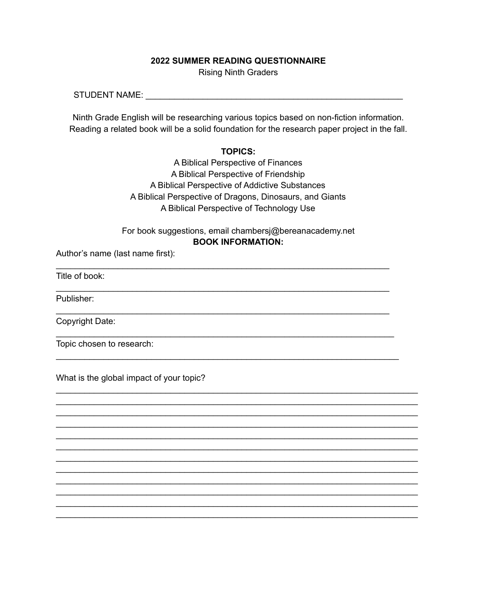## **2022 SUMMER READING QUESTIONNAIRE**

Rising Ninth Graders

STUDENT NAME: Letter that the state of the state of the state of the state of the state of the state of the state of the state of the state of the state of the state of the state of the state of the state of the state of t

Ninth Grade English will be researching various topics based on non-fiction information. Reading a related book will be a solid foundation for the research paper project in the fall.

## **TOPICS:**

A Biblical Perspective of Finances A Biblical Perspective of Friendship A Biblical Perspective of Addictive Substances A Biblical Perspective of Dragons, Dinosaurs, and Giants A Biblical Perspective of Technology Use

For book suggestions, email chambersj@bereanacademy.net **BOOK INFORMATION:**

\_\_\_\_\_\_\_\_\_\_\_\_\_\_\_\_\_\_\_\_\_\_\_\_\_\_\_\_\_\_\_\_\_\_\_\_\_\_\_\_\_\_\_\_\_\_\_\_\_\_\_\_\_\_\_\_\_\_\_\_\_\_\_\_\_\_\_\_\_\_

\_\_\_\_\_\_\_\_\_\_\_\_\_\_\_\_\_\_\_\_\_\_\_\_\_\_\_\_\_\_\_\_\_\_\_\_\_\_\_\_\_\_\_\_\_\_\_\_\_\_\_\_\_\_\_\_\_\_\_\_\_\_\_\_\_\_\_\_\_\_

\_\_\_\_\_\_\_\_\_\_\_\_\_\_\_\_\_\_\_\_\_\_\_\_\_\_\_\_\_\_\_\_\_\_\_\_\_\_\_\_\_\_\_\_\_\_\_\_\_\_\_\_\_\_\_\_\_\_\_\_\_\_\_\_\_\_\_\_\_\_

\_\_\_\_\_\_\_\_\_\_\_\_\_\_\_\_\_\_\_\_\_\_\_\_\_\_\_\_\_\_\_\_\_\_\_\_\_\_\_\_\_\_\_\_\_\_\_\_\_\_\_\_\_\_\_\_\_\_\_\_\_\_\_\_\_\_\_\_\_\_\_

\_\_\_\_\_\_\_\_\_\_\_\_\_\_\_\_\_\_\_\_\_\_\_\_\_\_\_\_\_\_\_\_\_\_\_\_\_\_\_\_\_\_\_\_\_\_\_\_\_\_\_\_\_\_\_\_\_\_\_\_\_\_\_\_\_\_\_\_\_\_\_\_

\_\_\_\_\_\_\_\_\_\_\_\_\_\_\_\_\_\_\_\_\_\_\_\_\_\_\_\_\_\_\_\_\_\_\_\_\_\_\_\_\_\_\_\_\_\_\_\_\_\_\_\_\_\_\_\_\_\_\_\_\_\_\_\_\_\_\_\_\_\_\_\_\_\_\_\_ \_\_\_\_\_\_\_\_\_\_\_\_\_\_\_\_\_\_\_\_\_\_\_\_\_\_\_\_\_\_\_\_\_\_\_\_\_\_\_\_\_\_\_\_\_\_\_\_\_\_\_\_\_\_\_\_\_\_\_\_\_\_\_\_\_\_\_\_\_\_\_\_\_\_\_\_ \_\_\_\_\_\_\_\_\_\_\_\_\_\_\_\_\_\_\_\_\_\_\_\_\_\_\_\_\_\_\_\_\_\_\_\_\_\_\_\_\_\_\_\_\_\_\_\_\_\_\_\_\_\_\_\_\_\_\_\_\_\_\_\_\_\_\_\_\_\_\_\_\_\_\_\_ \_\_\_\_\_\_\_\_\_\_\_\_\_\_\_\_\_\_\_\_\_\_\_\_\_\_\_\_\_\_\_\_\_\_\_\_\_\_\_\_\_\_\_\_\_\_\_\_\_\_\_\_\_\_\_\_\_\_\_\_\_\_\_\_\_\_\_\_\_\_\_\_\_\_\_\_ \_\_\_\_\_\_\_\_\_\_\_\_\_\_\_\_\_\_\_\_\_\_\_\_\_\_\_\_\_\_\_\_\_\_\_\_\_\_\_\_\_\_\_\_\_\_\_\_\_\_\_\_\_\_\_\_\_\_\_\_\_\_\_\_\_\_\_\_\_\_\_\_\_\_\_\_ \_\_\_\_\_\_\_\_\_\_\_\_\_\_\_\_\_\_\_\_\_\_\_\_\_\_\_\_\_\_\_\_\_\_\_\_\_\_\_\_\_\_\_\_\_\_\_\_\_\_\_\_\_\_\_\_\_\_\_\_\_\_\_\_\_\_\_\_\_\_\_\_\_\_\_\_ \_\_\_\_\_\_\_\_\_\_\_\_\_\_\_\_\_\_\_\_\_\_\_\_\_\_\_\_\_\_\_\_\_\_\_\_\_\_\_\_\_\_\_\_\_\_\_\_\_\_\_\_\_\_\_\_\_\_\_\_\_\_\_\_\_\_\_\_\_\_\_\_\_\_\_\_ \_\_\_\_\_\_\_\_\_\_\_\_\_\_\_\_\_\_\_\_\_\_\_\_\_\_\_\_\_\_\_\_\_\_\_\_\_\_\_\_\_\_\_\_\_\_\_\_\_\_\_\_\_\_\_\_\_\_\_\_\_\_\_\_\_\_\_\_\_\_\_\_\_\_\_\_ \_\_\_\_\_\_\_\_\_\_\_\_\_\_\_\_\_\_\_\_\_\_\_\_\_\_\_\_\_\_\_\_\_\_\_\_\_\_\_\_\_\_\_\_\_\_\_\_\_\_\_\_\_\_\_\_\_\_\_\_\_\_\_\_\_\_\_\_\_\_\_\_\_\_\_\_ \_\_\_\_\_\_\_\_\_\_\_\_\_\_\_\_\_\_\_\_\_\_\_\_\_\_\_\_\_\_\_\_\_\_\_\_\_\_\_\_\_\_\_\_\_\_\_\_\_\_\_\_\_\_\_\_\_\_\_\_\_\_\_\_\_\_\_\_\_\_\_\_\_\_\_\_ \_\_\_\_\_\_\_\_\_\_\_\_\_\_\_\_\_\_\_\_\_\_\_\_\_\_\_\_\_\_\_\_\_\_\_\_\_\_\_\_\_\_\_\_\_\_\_\_\_\_\_\_\_\_\_\_\_\_\_\_\_\_\_\_\_\_\_\_\_\_\_\_\_\_\_\_ \_\_\_\_\_\_\_\_\_\_\_\_\_\_\_\_\_\_\_\_\_\_\_\_\_\_\_\_\_\_\_\_\_\_\_\_\_\_\_\_\_\_\_\_\_\_\_\_\_\_\_\_\_\_\_\_\_\_\_\_\_\_\_\_\_\_\_\_\_\_\_\_\_\_\_\_

Author's name (last name first):

Title of book:

Publisher:

Copyright Date:

Topic chosen to research:

What is the global impact of your topic?